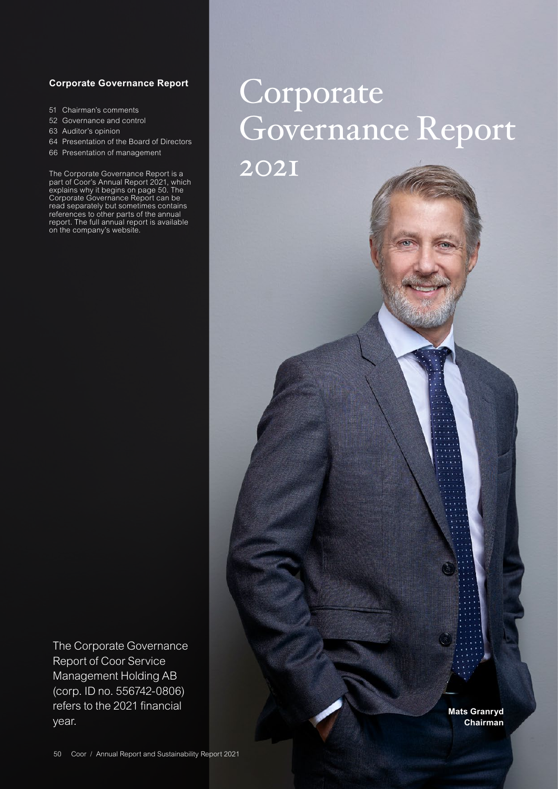# **Corporate Governance Report**

- 51 [Chairman's comments](#page-1-0)
- 52 [Governance and control](#page-2-0)
- 63 [Auditor's opinion](#page-13-0)
- 64 [Presentation of the Board of Directors](#page-14-0)
- 66 [Presentation of management](#page-16-0)

The Corporate Governance Report is a part of Coor's Annual Report 2021, which explains why it begins on page 50. The Corporate Governance Report can be read separately but sometimes contains references to other parts of the annual report. The full annual report is available on the company's website.

# Corporate Governance Report

2021

The Corporate Governance Report of Coor Service Management Holding AB (corp. ID no. 556742-0806) refers to the 2021 financial year.

**Mats Granryd Chairman**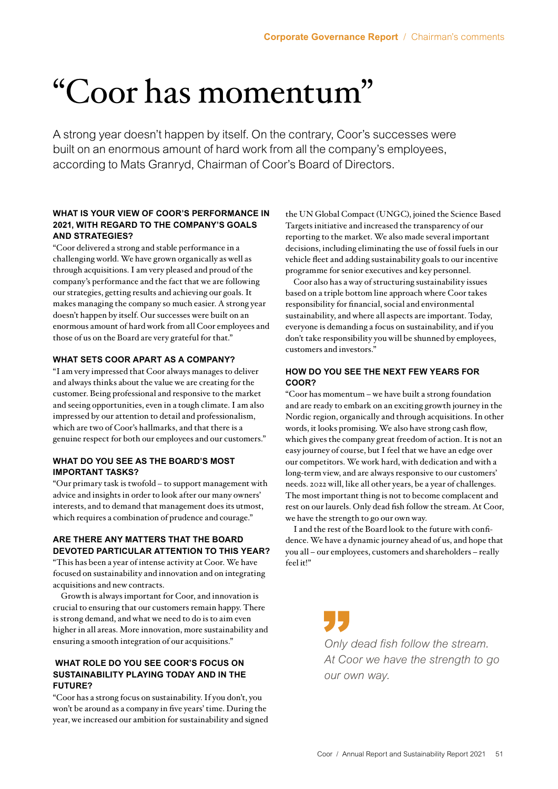# <span id="page-1-0"></span>"Coor has momentum"

A strong year doesn't happen by itself. On the contrary, Coor's successes were built on an enormous amount of hard work from all the company's employees, according to Mats Granryd, Chairman of Coor's Board of Directors.

# **WHAT IS YOUR VIEW OF COOR'S PERFORMANCE IN 2021, WITH REGARD TO THE COMPANY'S GOALS AND STRATEGIES?**

"Coor delivered a strong and stable performance in a challenging world. We have grown organically as well as through acquisitions. I am very pleased and proud of the company's performance and the fact that we are following our strategies, getting results and achieving our goals. It makes managing the company so much easier. A strong year doesn't happen by itself. Our successes were built on an enormous amount of hard work from all Coor employees and those of us on the Board are very grateful for that."

# **WHAT SETS COOR APART AS A COMPANY?**

"I am very impressed that Coor always manages to deliver and always thinks about the value we are creating for the customer. Being professional and responsive to the market and seeing opportunities, even in a tough climate. I am also impressed by our attention to detail and professionalism, which are two of Coor's hallmarks, and that there is a genuine respect for both our employees and our customers."

# **WHAT DO YOU SEE AS THE BOARD'S MOST IMPORTANT TASKS?**

"Our primary task is twofold – to support management with advice and insights in order to look after our many owners' interests, and to demand that management does its utmost, which requires a combination of prudence and courage."

# **ARE THERE ANY MATTERS THAT THE BOARD DEVOTED PARTICULAR ATTENTION TO THIS YEAR?**

"This has been a year of intense activity at Coor. We have focused on sustainability and innovation and on integrating acquisitions and new contracts.

Growth is always important for Coor, and innovation is crucial to ensuring that our customers remain happy. There is strong demand, and what we need to do is to aim even higher in all areas. More innovation, more sustainability and ensuring a smooth integration of our acquisitions."

# **WHAT ROLE DO YOU SEE COOR'S FOCUS ON SUSTAINABILITY PLAYING TODAY AND IN THE FUTURE?**

"Coor has a strong focus on sustainability. If you don't, you won't be around as a company in five years' time. During the year, we increased our ambition for sustainability and signed the UN Global Compact (UNGC), joined the Science Based Targets initiative and increased the transparency of our reporting to the market. We also made several important decisions, including eliminating the use of fossil fuels in our vehicle fleet and adding sustainability goals to our incentive programme for senior executives and key personnel.

Coor also has a way of structuring sustainability issues based on a triple bottom line approach where Coor takes responsibility for financial, social and environmental sustainability, and where all aspects are important. Today, everyone is demanding a focus on sustainability, and if you don't take responsibility you will be shunned by employees, customers and investors."

# **HOW DO YOU SEE THE NEXT FEW YEARS FOR COOR?**

"Coor has momentum – we have built a strong foundation and are ready to embark on an exciting growth journey in the Nordic region, organically and through acquisitions. In other words, it looks promising. We also have strong cash flow, which gives the company great freedom of action. It is not an easy journey of course, but I feel that we have an edge over our competitors. We work hard, with dedication and with a long-term view, and are always responsive to our customers' needs. 2022 will, like all other years, be a year of challenges. The most important thing is not to become complacent and rest on our laurels. Only dead fish follow the stream. At Coor, we have the strength to go our own way.

I and the rest of the Board look to the future with confidence. We have a dynamic journey ahead of us, and hope that you all – our employees, customers and shareholders – really feel it!"

> *Only dead fish follow the stream. At Coor we have the strength to go our own way.*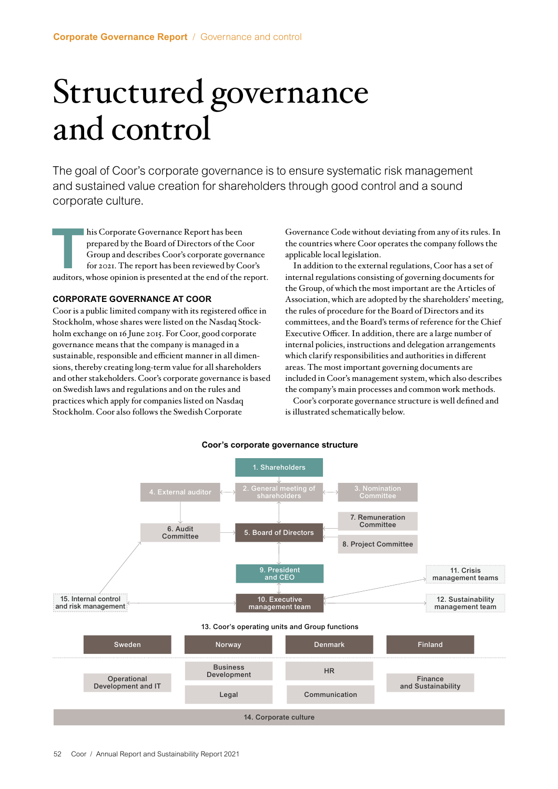# <span id="page-2-0"></span>Structured governance and control

The goal of Coor's corporate governance is to ensure systematic risk management and sustained value creation for shareholders through good control and a sound corporate culture.

**T**his Corporate Governance Report has been prepared by the Board of Directors of the Coor Group and describes Coor's corporate governance for 2021. The report has been reviewed by Coor's auditors, whose opinion is presented at the end of the report.

# **CORPORATE GOVERNANCE AT COOR**

Coor is a public limited company with its registered office in Stockholm, whose shares were listed on the Nasdaq Stockholm exchange on 16 June 2015. For Coor, good corporate governance means that the company is managed in a sustainable, responsible and efficient manner in all dimensions, thereby creating long-term value for all shareholders and other stakeholders. Coor's corporate governance is based on Swedish laws and regulations and on the rules and practices which apply for companies listed on Nasdaq Stockholm. Coor also follows the Swedish Corporate

Governance Code without deviating from any of its rules. In the countries where Coor operates the company follows the applicable local legislation.

In addition to the external regulations, Coor has a set of internal regulations consisting of governing documents for the Group, of which the most important are the Articles of Association, which are adopted by the shareholders' meeting, the rules of procedure for the Board of Directors and its committees, and the Board's terms of reference for the Chief Executive Officer. In addition, there are a large number of internal policies, instructions and delegation arrangements which clarify responsibilities and authorities in different areas. The most important governing documents are included in Coor's management system, which also describes the company's main processes and common work methods.

Coor's corporate governance structure is well defined and is illustrated schematically below.

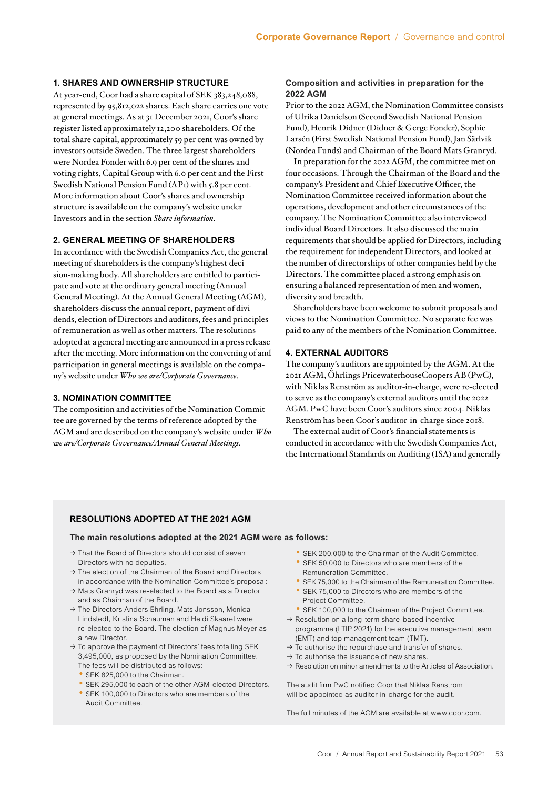# **1. SHARES AND OWNERSHIP STRUCTURE**

At year-end, Coor had a share capital of SEK 383,248,088, represented by 95,812,022 shares. Each share carries one vote at general meetings. As at 31 December 2021, Coor's share register listed approximately 12,200 shareholders. Of the total share capital, approximately 59 per cent was owned by investors outside Sweden. The three largest shareholders were Nordea Fonder with 6.9 per cent of the shares and voting rights, Capital Group with 6.0 per cent and the First Swedish National Pension Fund (AP1) with 5.8 per cent. More information about Coor's shares and ownership structure is available on the company's website under Investors and in the section *Share information*.

# **2. GENERAL MEETING OF SHAREHOLDERS**

In accordance with the Swedish Companies Act, the general meeting of shareholders is the company's highest decision-making body. All shareholders are entitled to participate and vote at the ordinary general meeting (Annual General Meeting). At the Annual General Meeting (AGM), shareholders discuss the annual report, payment of dividends, election of Directors and auditors, fees and principles of remuneration as well as other matters. The resolutions adopted at a general meeting are announced in a press release after the meeting. More information on the convening of and participation in general meetings is available on the company's website under *Who we are/Corporate Governance*.

# **3. NOMINATION COMMITTEE**

The composition and activities of the Nomination Committee are governed by the terms of reference adopted by the AGM and are described on the company's website under *Who we are/Corporate Governance/Annual General Meetings*.

# **Composition and activities in preparation for the 2022 AGM**

Prior to the 2022 AGM, the Nomination Committee consists of Ulrika Danielson (Second Swedish National Pension Fund), Henrik Didner (Didner & Gerge Fonder), Sophie Larsén (First Swedish National Pension Fund), Jan Särlvik (Nordea Funds) and Chairman of the Board Mats Granryd.

In preparation for the 2022 AGM, the committee met on four occasions. Through the Chairman of the Board and the company's President and Chief Executive Officer, the Nomination Committee received information about the operations, development and other circumstances of the company. The Nomination Committee also interviewed individual Board Directors. It also discussed the main requirements that should be applied for Directors, including the requirement for independent Directors, and looked at the number of directorships of other companies held by the Directors. The committee placed a strong emphasis on ensuring a balanced representation of men and women, diversity and breadth.

Shareholders have been welcome to submit proposals and views to the Nomination Committee. No separate fee was paid to any of the members of the Nomination Committee.

# **4. EXTERNAL AUDITORS**

The company's auditors are appointed by the AGM. At the 2021 AGM, Öhrlings PricewaterhouseCoopers AB (PwC), with Niklas Renström as auditor-in-charge, were re-elected to serve as the company's external auditors until the 2022 AGM. PwC have been Coor's auditors since 2004. Niklas Renström has been Coor's auditor-in-charge since 2018.

The external audit of Coor's financial statements is conducted in accordance with the Swedish Companies Act, the International Standards on Auditing (ISA) and generally

# **RESOLUTIONS ADOPTED AT THE 2021 AGM**

# **The main resolutions adopted at the 2021 AGM were as follows:**

- $\rightarrow$  That the Board of Directors should consist of seven Directors with no deputies.
- $\rightarrow$  The election of the Chairman of the Board and Directors in accordance with the Nomination Committee's proposal:
- $\rightarrow$  Mats Granryd was re-elected to the Board as a Director and as Chairman of the Board.
- $\rightarrow$  The Directors Anders Ehrling, Mats Jönsson, Monica Lindstedt, Kristina Schauman and Heidi Skaaret were re-elected to the Board. The election of Magnus Meyer as a new Director.
- $\rightarrow$  To approve the payment of Directors' fees totalling SEK 3,495,000, as proposed by the Nomination Committee. The fees will be distributed as follows:
	- SEK 825,000 to the Chairman.
	- SEK 295,000 to each of the other AGM-elected Directors.
	- SEK 100,000 to Directors who are members of the Audit Committee.
- SEK 200,000 to the Chairman of the Audit Committee.
- SEK 50,000 to Directors who are members of the Remuneration Committee.
- SEK 75,000 to the Chairman of the Remuneration Committee.
- SEK 75,000 to Directors who are members of the Project Committee.
- SEK 100,000 to the Chairman of the Project Committee.
- $\rightarrow$  Resolution on a long-term share-based incentive programme (LTIP 2021) for the executive management team (EMT) and top management team (TMT).
- $\rightarrow$  To authorise the repurchase and transfer of shares.
- $\rightarrow$  To authorise the issuance of new shares.
- $\rightarrow$  Resolution on minor amendments to the Articles of Association.

The audit firm PwC notified Coor that Niklas Renström will be appointed as auditor-in-charge for the audit.

The full minutes of the AGM are available at www.coor.com.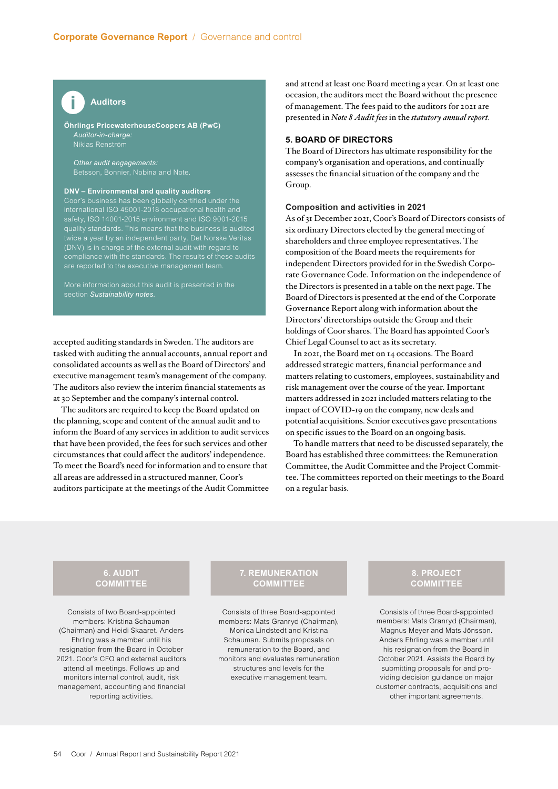

**Öhrlings PricewaterhouseCoopers AB (PwC)** *Auditor-in-charge:*  Niklas Renström

*Other audit engagements:* Betsson, Bonnier, Nobina and Note.

# **DNV – Environmental and quality auditors**

Coor's business has been globally certified under the international ISO 45001-2018 occupational health and twice a year by an independent party. Det Norske Veritas (DNV) is in charge of the external audit with regard to compliance with the standards. The results of these audits are reported to the executive management team.

section *Sustainability notes.*

accepted auditing standards in Sweden. The auditors are tasked with auditing the annual accounts, annual report and consolidated accounts as well as the Board of Directors' and executive management team's management of the company. The auditors also review the interim financial statements as at 30 September and the company's internal control.

The auditors are required to keep the Board updated on the planning, scope and content of the annual audit and to inform the Board of any services in addition to audit services that have been provided, the fees for such services and other circumstances that could affect the auditors' independence. To meet the Board's need for information and to ensure that all areas are addressed in a structured manner, Coor's auditors participate at the meetings of the Audit Committee

and attend at least one Board meeting a year. On at least one occasion, the auditors meet the Board without the presence of management. The fees paid to the auditors for 2021 are presented in *Note 8 Audit fees* in the *statutory annual report.*

# **5. BOARD OF DIRECTORS**

The Board of Directors has ultimate responsibility for the company's organisation and operations, and continually assesses the financial situation of the company and the Group.

# **Composition and activities in 2021**

As of 31 December 2021, Coor's Board of Directors consists of six ordinary Directors elected by the general meeting of shareholders and three employee representatives. The composition of the Board meets the requirements for independent Directors provided for in the Swedish Corporate Governance Code. Information on the independence of the Directors is presented in a table on the next page. The Board of Directors is presented at the end of the Corporate Governance Report along with information about the Directors' directorships outside the Group and their holdings of Coor shares. The Board has appointed Coor's Chief Legal Counsel to act as its secretary.

In 2021, the Board met on 14 occasions. The Board addressed strategic matters, financial performance and matters relating to customers, employees, sustainability and risk management over the course of the year. Important matters addressed in 2021 included matters relating to the impact of COVID-19 on the company, new deals and potential acquisitions. Senior executives gave presentations on specific issues to the Board on an ongoing basis.

To handle matters that need to be discussed separately, the Board has established three committees: the Remuneration Committee, the Audit Committee and the Project Committee. The committees reported on their meetings to the Board on a regular basis.

# **6. AUDIT COMMITTEE**

Consists of two Board-appointed members: Kristina Schauman (Chairman) and Heidi Skaaret. Anders Ehrling was a member until his resignation from the Board in October 2021. Coor's CFO and external auditors attend all meetings. Follows up and monitors internal control, audit, risk management, accounting and financial reporting activities.

# **7. REMUNERATION COMMITTEE**

Consists of three Board-appointed members: Mats Granryd (Chairman), Monica Lindstedt and Kristina Schauman. Submits proposals on remuneration to the Board, and monitors and evaluates remuneration structures and levels for the executive management team.

# **8. PROJECT COMMITTEE**

Consists of three Board-appointed members: Mats Granryd (Chairman), Magnus Meyer and Mats Jönsson. Anders Ehrling was a member until his resignation from the Board in October 2021. Assists the Board by submitting proposals for and providing decision guidance on major customer contracts, acquisitions and other important agreements.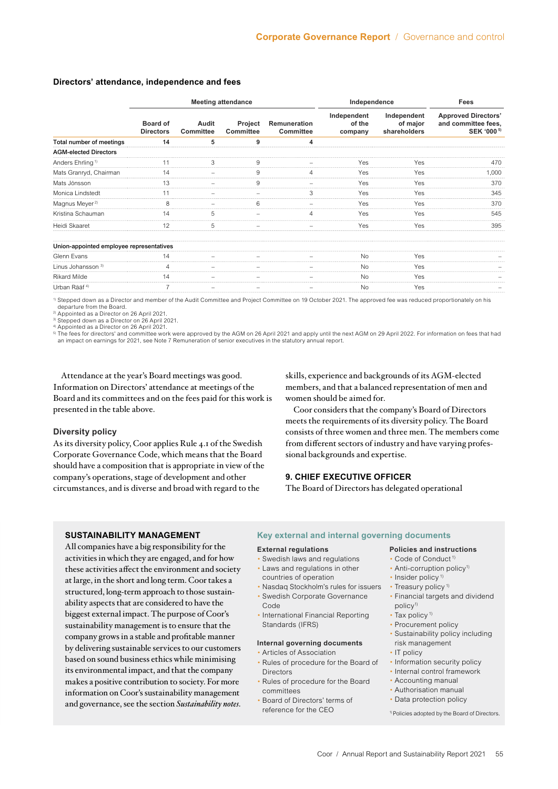|                                          | <b>Meeting attendance</b>           |                           |                             |                                         | Independence                     | <b>Fees</b>                             |                                                                             |
|------------------------------------------|-------------------------------------|---------------------------|-----------------------------|-----------------------------------------|----------------------------------|-----------------------------------------|-----------------------------------------------------------------------------|
|                                          | <b>Board of</b><br><b>Directors</b> | Audit<br><b>Committee</b> | Project<br><b>Committee</b> | <b>Remuneration</b><br><b>Committee</b> | Independent<br>of the<br>company | Independent<br>of major<br>shareholders | <b>Approved Directors'</b><br>and committee fees,<br>SEK '000 <sup>5)</sup> |
| Total number of meetings                 | 14                                  | 5                         | 9                           | 4                                       |                                  |                                         |                                                                             |
| <b>AGM-elected Directors</b>             |                                     |                           |                             |                                         |                                  |                                         |                                                                             |
| Anders Ehrling <sup>1)</sup>             | 11                                  | 3                         | 9                           | -                                       | Yes                              | Yes                                     | 470                                                                         |
| Mats Granryd, Chairman                   | 14                                  | -                         | 9                           | 4                                       | Yes                              | Yes                                     | 1,000                                                                       |
| Mats Jönsson                             | 13                                  | $\overline{\phantom{0}}$  | 9                           | $\overline{\phantom{0}}$                | Yes                              | Yes                                     | 370                                                                         |
| Monica Lindstedt                         | 11                                  |                           |                             | 3                                       | Yes                              | Yes                                     | 345                                                                         |
| Magnus Meyer <sup>2)</sup>               | 8                                   | -                         | 6                           | -                                       | Yes                              | Yes                                     | 370                                                                         |
| Kristina Schauman                        | 14                                  | 5                         |                             | 4                                       | Yes                              | Yes                                     | 545                                                                         |
| Heidi Skaaret                            | 12                                  | 5                         |                             |                                         | Yes                              | Yes                                     | 395                                                                         |
| Union-appointed employee representatives |                                     |                           |                             |                                         |                                  |                                         |                                                                             |
| Glenn Evans                              | 14                                  | $\overline{\phantom{0}}$  |                             | -                                       | <b>No</b>                        | Yes                                     |                                                                             |
| Linus Johansson <sup>3)</sup>            | $\overline{4}$                      |                           |                             |                                         | <b>No</b>                        | Yes                                     |                                                                             |
| <b>Rikard Milde</b>                      | 14                                  | -                         |                             | -                                       | <b>No</b>                        | Yes                                     |                                                                             |
| Urban Rääf <sup>4)</sup>                 | $\overline{7}$                      | $\qquad \qquad -$         |                             | -                                       | <b>No</b>                        | Yes                                     |                                                                             |

# **Directors' attendance, independence and fees**

1) Stepped down as a Director and member of the Audit Committee and Project Committee on 19 October 2021. The approved fee was reduced proportionately on his departure from the Board. 2) Appointed as a Director on 26 April 2021.

3) Stepped down as a Director on 26 April 2021.

4) Appointed as a Director on 26 April 2021.<br><sup>5)</sup> The fees for directors' and committee work were approved by the AGM on 26 April 2021 and apply until the next AGM on 29 April 2022. For information on fees that had an impact on earnings for 2021, see Note 7 Remuneration of senior executives in the statutory annual report.

Attendance at the year's Board meetings was good. Information on Directors' attendance at meetings of the Board and its committees and on the fees paid for this work is presented in the table above.

# **Diversity policy**

As its diversity policy, Coor applies Rule 4.1 of the Swedish Corporate Governance Code, which means that the Board should have a composition that is appropriate in view of the company's operations, stage of development and other circumstances, and is diverse and broad with regard to the

skills, experience and backgrounds of its AGM-elected members, and that a balanced representation of men and women should be aimed for.

Coor considers that the company's Board of Directors meets the requirements of its diversity policy. The Board consists of three women and three men. The members come from different sectors of industry and have varying professional backgrounds and expertise.

# **9. CHIEF EXECUTIVE OFFICER**

The Board of Directors has delegated operational

# **SUSTAINABILITY MANAGEMENT**

All companies have a big responsibility for the activities in which they are engaged, and for how these activities affect the environment and society at large, in the short and long term. Coor takes a structured, long-term approach to those sustainability aspects that are considered to have the biggest external impact. The purpose of Coor's sustainability management is to ensure that the company grows in a stable and profitable manner by delivering sustainable services to our customers based on sound business ethics while minimising its environmental impact, and that the company makes a positive contribution to society. For more information on Coor's sustainability management and governance, see the section *Sustainability notes*.

# **Key external and internal governing documents**

# **External regulations**

- Swedish laws and regulations
- Laws and regulations in other
- countries of operation
- Nasdaq Stockholm's rules for issuers Treasury policy<sup>1)</sup> • Swedish Corporate Governance
- Code
- International Financial Reporting Standards (IFRS)

# **Internal governing documents**

- Articles of Association • Rules of procedure for the Board of Directors
- Rules of procedure for the Board committees
- Board of Directors' terms of reference for the CEO

# **Policies and instructions**

- Code of Conduct 1)
- Anti-corruption policy<sup>1)</sup>
- Insider policy<sup>1)</sup>
- 
- Financial targets and dividend policy<sup>1)</sup>
- Tax policy<sup>1)</sup>
- Procurement policy
- Sustainability policy including
- risk management
- IT policy
- Information security policy
- Internal control framework
- Accounting manual
- Authorisation manual
- Data protection policy

1) Policies adopted by the Board of Directors.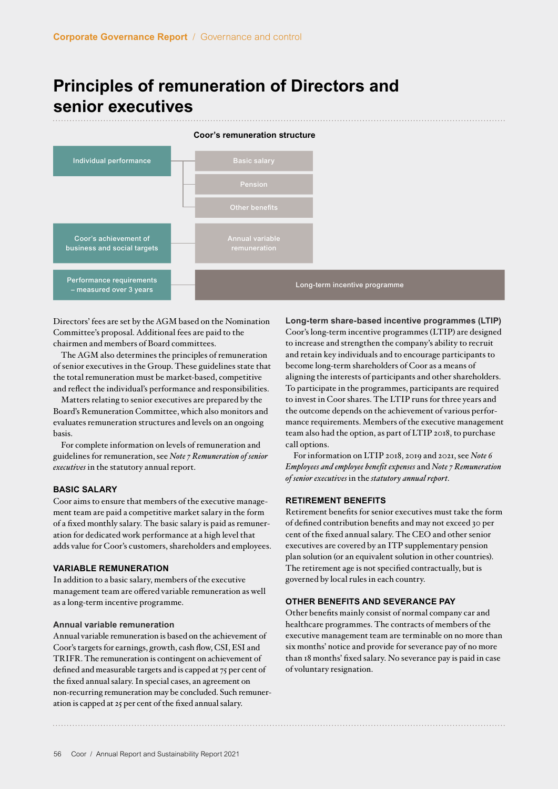# **Principles of remuneration of Directors and senior executives**



Directors' fees are set by the AGM based on the Nomination Committee's proposal. Additional fees are paid to the chairmen and members of Board committees.

The AGM also determines the principles of remuneration of senior executives in the Group. These guidelines state that the total remuneration must be market-based, competitive and reflect the individual's performance and responsibilities.

Matters relating to senior executives are prepared by the Board's Remuneration Committee, which also monitors and evaluates remuneration structures and levels on an ongoing basis.

For complete information on levels of remuneration and guidelines for remuneration, see *Note 7 Remuneration of senior executives* in the statutory annual report.

# **BASIC SALARY**

Coor aims to ensure that members of the executive management team are paid a competitive market salary in the form of a fixed monthly salary. The basic salary is paid as remuneration for dedicated work performance at a high level that adds value for Coor's customers, shareholders and employees.

# **VARIABLE REMUNERATION**

In addition to a basic salary, members of the executive management team are offered variable remuneration as well as a long-term incentive programme.

# **Annual variable remuneration**

Annual variable remuneration is based on the achievement of Coor's targets for earnings, growth, cash flow, CSI, ESI and TRIFR. The remuneration is contingent on achievement of defined and measurable targets and is capped at 75 per cent of the fixed annual salary. In special cases, an agreement on non-recurring remuneration may be concluded. Such remuneration is capped at 25 per cent of the fixed annual salary.

**Long-term share-based incentive programmes (LTIP)** Coor's long-term incentive programmes (LTIP) are designed to increase and strengthen the company's ability to recruit and retain key individuals and to encourage participants to become long-term shareholders of Coor as a means of aligning the interests of participants and other shareholders. To participate in the programmes, participants are required to invest in Coor shares. The LTIP runs for three years and the outcome depends on the achievement of various performance requirements. Members of the executive management team also had the option, as part of LTIP 2018, to purchase call options.

For information on LTIP 2018, 2019 and 2021, see *Note 6 Employees and employee benefit expenses* and *Note 7 Remuneration of senior executives* in the *statutory annual report*.

# **RETIREMENT BENEFITS**

Retirement benefits for senior executives must take the form of defined contribution benefits and may not exceed 30 per cent of the fixed annual salary. The CEO and other senior executives are covered by an ITP supplementary pension plan solution (or an equivalent solution in other countries). The retirement age is not specified contractually, but is governed by local rules in each country.

# **OTHER BENEFITS AND SEVERANCE PAY**

Other benefits mainly consist of normal company car and healthcare programmes. The contracts of members of the executive management team are terminable on no more than six months' notice and provide for severance pay of no more than 18 months' fixed salary. No severance pay is paid in case of voluntary resignation.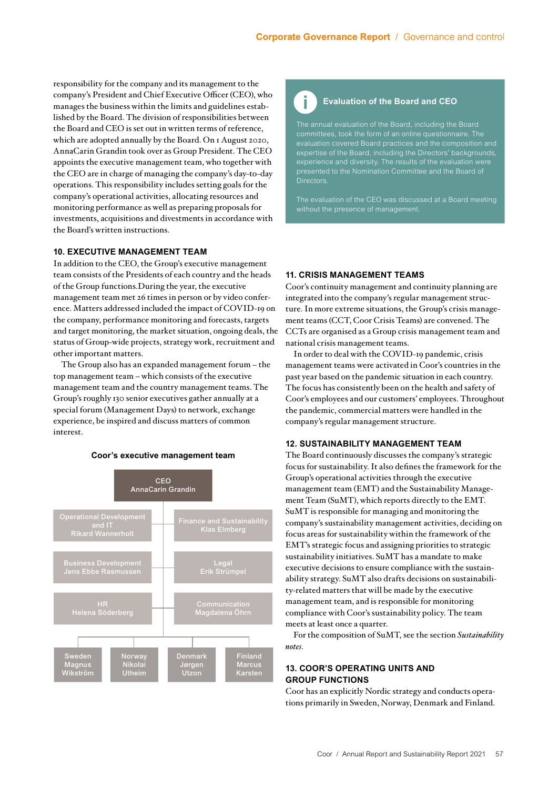responsibility for the company and its management to the company's President and Chief Executive Officer (CEO), who manages the business within the limits and guidelines established by the Board. The division of responsibilities between the Board and CEO is set out in written terms of reference, which are adopted annually by the Board. On 1 August 2020, AnnaCarin Grandin took over as Group President. The CEO appoints the executive management team, who together with the CEO are in charge of managing the company's day-to-day operations. This responsibility includes setting goals for the company's operational activities, allocating resources and monitoring performance as well as preparing proposals for investments, acquisitions and divestments in accordance with the Board's written instructions.

# **10. EXECUTIVE MANAGEMENT TEAM**

In addition to the CEO, the Group's executive management team consists of the Presidents of each country and the heads of the Group functions.During the year, the executive management team met 26 times in person or by video conference. Matters addressed included the impact of COVID-19 on the company, performance monitoring and forecasts, targets and target monitoring, the market situation, ongoing deals, the status of Group-wide projects, strategy work, recruitment and other important matters.

The Group also has an expanded management forum – the top management team – which consists of the executive management team and the country management teams. The Group's roughly 130 senior executives gather annually at a special forum (Management Days) to network, exchange experience, be inspired and discuss matters of common interest.

# **Coor's executive management team**



# **Evaluation of the Board and CEO**

The annual evaluation of the Board, including the Board committees, took the form of an online questionnaire. The expertise of the Board, including the Directors' backgrounds, presented to the Nomination Committee and the Board of Directors.

without the presence of management.

# **11. CRISIS MANAGEMENT TEAMS**

Coor's continuity management and continuity planning are integrated into the company's regular management structure. In more extreme situations, the Group's crisis management teams (CCT, Coor Crisis Teams) are convened. The CCTs are organised as a Group crisis management team and national crisis management teams.

In order to deal with the COVID-19 pandemic, crisis management teams were activated in Coor's countries in the past year based on the pandemic situation in each country. The focus has consistently been on the health and safety of Coor's employees and our customers' employees. Throughout the pandemic, commercial matters were handled in the company's regular management structure.

# **12. SUSTAINABILITY MANAGEMENT TEAM**

The Board continuously discusses the company's strategic focus for sustainability. It also defines the framework for the Group's operational activities through the executive management team (EMT) and the Sustainability Management Team (SuMT), which reports directly to the EMT. SuMT is responsible for managing and monitoring the company's sustainability management activities, deciding on focus areas for sustainability within the framework of the EMT's strategic focus and assigning priorities to strategic sustainability initiatives. SuMT has a mandate to make executive decisions to ensure compliance with the sustainability strategy. SuMT also drafts decisions on sustainability-related matters that will be made by the executive management team, and is responsible for monitoring compliance with Coor's sustainability policy. The team meets at least once a quarter.

For the composition of SuMT, see the section *Sustainability notes*.

# **13. COOR'S OPERATING UNITS AND GROUP FUNCTIONS**

Coor has an explicitly Nordic strategy and conducts operations primarily in Sweden, Norway, Denmark and Finland.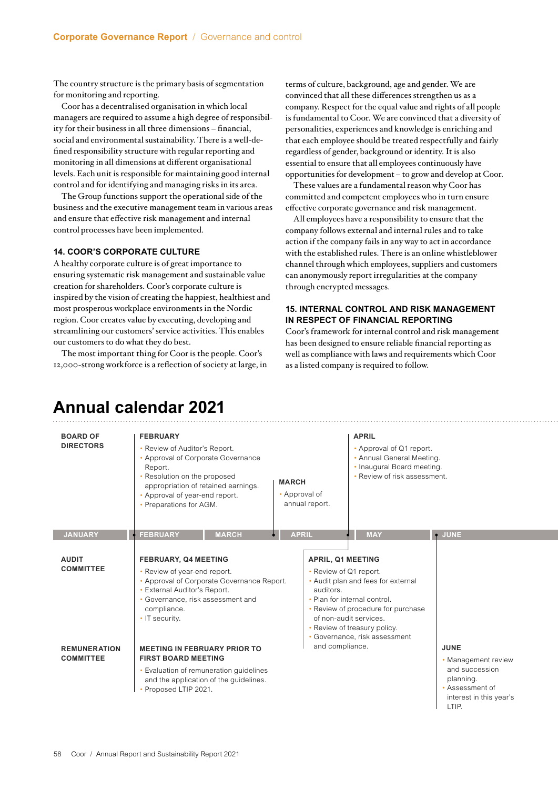The country structure is the primary basis of segmentation for monitoring and reporting.

Coor has a decentralised organisation in which local managers are required to assume a high degree of responsibility for their business in all three dimensions – financial, social and environmental sustainability. There is a well-defined responsibility structure with regular reporting and monitoring in all dimensions at different organisational levels. Each unit is responsible for maintaining good internal control and for identifying and managing risks in its area.

The Group functions support the operational side of the business and the executive management team in various areas and ensure that effective risk management and internal control processes have been implemented.

# **14. COOR'S CORPORATE CULTURE**

A healthy corporate culture is of great importance to ensuring systematic risk management and sustainable value creation for shareholders. Coor's corporate culture is inspired by the vision of creating the happiest, healthiest and most prosperous workplace environments in the Nordic region. Coor creates value by executing, developing and streamlining our customers' service activities. This enables our customers to do what they do best.

The most important thing for Coor is the people. Coor's 12,000-strong workforce is a reflection of society at large, in terms of culture, background, age and gender. We are convinced that all these differences strengthen us as a company. Respect for the equal value and rights of all people is fundamental to Coor. We are convinced that a diversity of personalities, experiences and knowledge is enriching and that each employee should be treated respectfully and fairly regardless of gender, background or identity. It is also essential to ensure that all employees continuously have opportunities for development – to grow and develop at Coor.

These values are a fundamental reason why Coor has committed and competent employees who in turn ensure effective corporate governance and risk management.

All employees have a responsibility to ensure that the company follows external and internal rules and to take action if the company fails in any way to act in accordance with the established rules. There is an online whistleblower channel through which employees, suppliers and customers can anonymously report irregularities at the company through encrypted messages.

# **15. INTERNAL CONTROL AND RISK MANAGEMENT IN RESPECT OF FINANCIAL REPORTING**

Coor's framework for internal control and risk management has been designed to ensure reliable financial reporting as well as compliance with laws and requirements which Coor as a listed company is required to follow.

| <b>BOARD OF</b><br><b>DIRECTORS</b>     | <b>FEBRUARY</b><br>• Review of Auditor's Report.<br>• Approval of Corporate Governance<br>Report.<br>• Resolution on the proposed<br><b>MARCH</b><br>appropriation of retained earnings.<br>• Approval of<br>• Approval of year-end report.<br>annual report.<br>• Preparations for AGM.                                                                                     |              |              |  | <b>APRIL</b><br>• Approval of Q1 report.<br>• Annual General Meeting.<br>• Inaugural Board meeting.<br>• Review of risk assessment. |            |                                                                                                                          |  |
|-----------------------------------------|------------------------------------------------------------------------------------------------------------------------------------------------------------------------------------------------------------------------------------------------------------------------------------------------------------------------------------------------------------------------------|--------------|--------------|--|-------------------------------------------------------------------------------------------------------------------------------------|------------|--------------------------------------------------------------------------------------------------------------------------|--|
| <b>JANUARY</b>                          | <b>FEBRUARY</b>                                                                                                                                                                                                                                                                                                                                                              | <b>MARCH</b> | <b>APRIL</b> |  |                                                                                                                                     | <b>MAY</b> | <b>JUNE</b><br>$\bullet$                                                                                                 |  |
| <b>AUDIT</b><br><b>COMMITTEE</b>        | <b>FEBRUARY, Q4 MEETING</b><br><b>APRIL, Q1 MEETING</b><br>• Review of year-end report.<br>• Review of Q1 report.<br>• Approval of Corporate Governance Report.<br>• External Auditor's Report.<br>auditors.<br>• Governance, risk assessment and<br>• Plan for internal control.<br>compliance.<br>• IT security.<br>of non-audit services.<br>• Review of treasury policy. |              |              |  | • Audit plan and fees for external<br>• Review of procedure for purchase<br>• Governance, risk assessment                           |            |                                                                                                                          |  |
| <b>REMUNERATION</b><br><b>COMMITTEE</b> | and compliance.<br><b>MEETING IN FEBRUARY PRIOR TO</b><br><b>FIRST BOARD MEETING</b><br>• Evaluation of remuneration guidelines<br>and the application of the guidelines.<br>• Proposed LTIP 2021.                                                                                                                                                                           |              |              |  |                                                                                                                                     |            | <b>JUNE</b><br>• Management review<br>and succession<br>planning.<br>• Assessment of<br>interest in this year's<br>LTIP. |  |

# **Annual calendar 2021**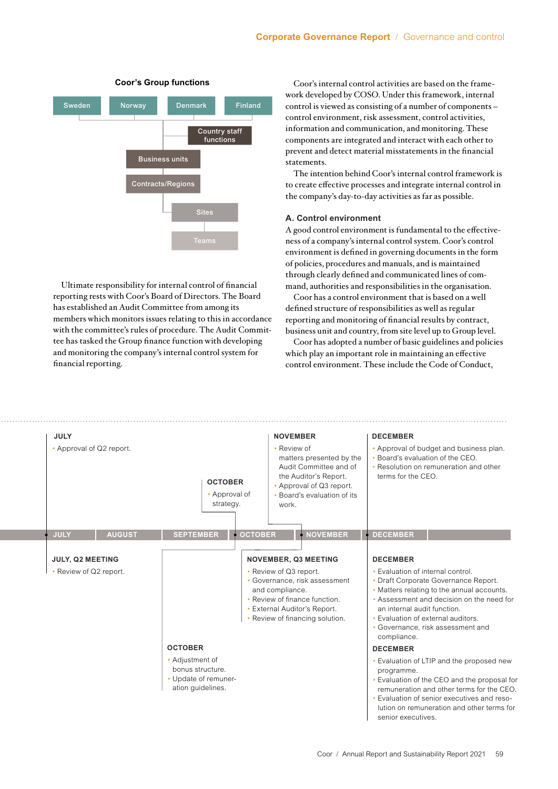

Ultimate responsibility for internal control of financial reporting rests with Coor's Board of Directors. The Board has established an Audit Committee from among its members which monitors issues relating to this in accordance with the committee's rules of procedure. The Audit Committee has tasked the Group finance function with developing and monitoring the company's internal control system for financial reporting.

**Coor's Group functions** Coor's internal control activities are based on the framework developed by COSO. Under this framework, internal control is viewed as consisting of a number of components – control environment, risk assessment, control activities, information and communication, and monitoring. These components are integrated and interact with each other to prevent and detect material misstatements in the financial statements.

> The intention behind Coor's internal control framework is to create effective processes and integrate internal control in the company's day-to-day activities as far as possible.

# **A. Control environment**

A good control environment is fundamental to the effectiveness of a company's internal control system. Coor's control environment is defined in governing documents in the form of policies, procedures and manuals, and is maintained through clearly defined and communicated lines of command, authorities and responsibilities in the organisation.

Coor has a control environment that is based on a well defined structure of responsibilities as well as regular reporting and monitoring of financial results by contract, business unit and country, from site level up to Group level.

Coor has adopted a number of basic guidelines and policies which play an important role in maintaining an effective control environment. These include the Code of Conduct,

| <b>JULY</b><br>• Approval of Q2 report.    |               |                                                                                  | <b>OCTOBER</b><br>• Approval of<br>strategy. |                                                                                                                                           | <b>NOVEMBER</b><br>• Review of<br>matters presented by the<br>Audit Committee and of<br>the Auditor's Report.<br>• Approval of Q3 report.<br>• Board's evaluation of its | <b>DECEMBER</b><br>• Approval of budget and business plan.<br>• Board's evaluation of the CEO.<br>• Resolution on remuneration and other<br>terms for the CEO.                                                                                                                                                                      |                                                                                                                                                                                                                                     |  |
|--------------------------------------------|---------------|----------------------------------------------------------------------------------|----------------------------------------------|-------------------------------------------------------------------------------------------------------------------------------------------|--------------------------------------------------------------------------------------------------------------------------------------------------------------------------|-------------------------------------------------------------------------------------------------------------------------------------------------------------------------------------------------------------------------------------------------------------------------------------------------------------------------------------|-------------------------------------------------------------------------------------------------------------------------------------------------------------------------------------------------------------------------------------|--|
| <b>JULY</b>                                | <b>AUGUST</b> | <b>SEPTEMBER</b>                                                                 | <b>OCTOBER</b>                               |                                                                                                                                           | <b>NOVEMBER</b>                                                                                                                                                          | <b>DECEMBER</b>                                                                                                                                                                                                                                                                                                                     |                                                                                                                                                                                                                                     |  |
| JULY, Q2 MEETING<br>• Review of Q2 report. |               | <b>OCTOBER</b>                                                                   |                                              | <b>NOVEMBER, Q3 MEETING</b><br>• Review of Q3 report.<br>and compliance.<br>• Review of finance function.<br>• External Auditor's Report. | • Governance, risk assessment<br>• Review of financing solution.                                                                                                         | <b>DECEMBER</b><br>• Evaluation of internal control.<br>• Draft Corporate Governance Report.<br>• Matters relating to the annual accounts.<br>• Assessment and decision on the need for<br>an internal audit function.<br>• Evaluation of external auditors.<br>• Governance, risk assessment and<br>compliance.<br><b>DECEMBER</b> |                                                                                                                                                                                                                                     |  |
|                                            |               | • Adjustment of<br>bonus structure.<br>• Update of remuner-<br>ation quidelines. |                                              |                                                                                                                                           |                                                                                                                                                                          | programme.<br>senior executives.                                                                                                                                                                                                                                                                                                    | • Evaluation of LTIP and the proposed new<br>. Evaluation of the CEO and the proposal for<br>remuneration and other terms for the CEO.<br>• Evaluation of senior executives and reso-<br>lution on remuneration and other terms for |  |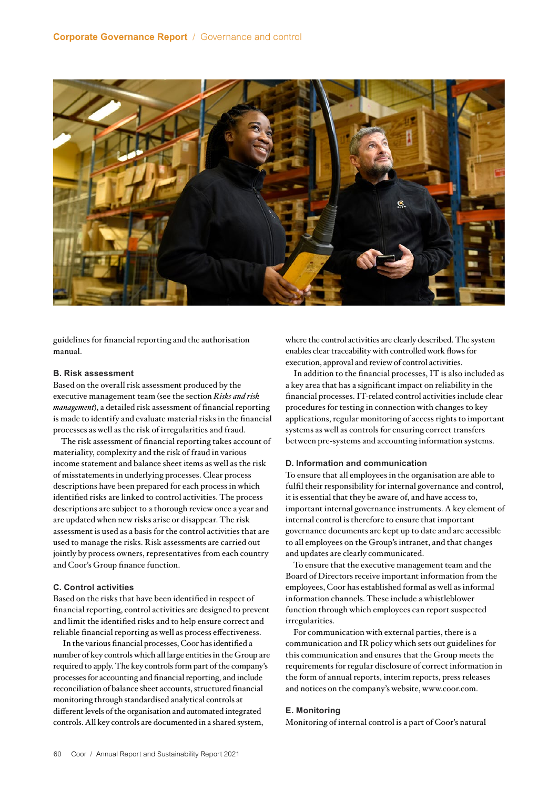

guidelines for financial reporting and the authorisation manual.

# **B. Risk assessment**

Based on the overall risk assessment produced by the executive management team (see the section *Risks and risk management*), a detailed risk assessment of financial reporting is made to identify and evaluate material risks in the financial processes as well as the risk of irregularities and fraud.

The risk assessment of financial reporting takes account of materiality, complexity and the risk of fraud in various income statement and balance sheet items as well as the risk of misstatements in underlying processes. Clear process descriptions have been prepared for each process in which identified risks are linked to control activities. The process descriptions are subject to a thorough review once a year and are updated when new risks arise or disappear. The risk assessment is used as a basis for the control activities that are used to manage the risks. Risk assessments are carried out jointly by process owners, representatives from each country and Coor's Group finance function.

# **C. Control activities**

Based on the risks that have been identified in respect of financial reporting, control activities are designed to prevent and limit the identified risks and to help ensure correct and reliable financial reporting as well as process effectiveness.

 In the various financial processes, Coor has identified a number of key controls which all large entities in the Group are required to apply. The key controls form part of the company's processes for accounting and financial reporting, and include reconciliation of balance sheet accounts, structured financial monitoring through standardised analytical controls at different levels of the organisation and automated integrated controls. All key controls are documented in a shared system,

where the control activities are clearly described. The system enables clear traceability with controlled work flows for execution, approval and review of control activities.

In addition to the financial processes, IT is also included as a key area that has a significant impact on reliability in the financial processes. IT-related control activities include clear procedures for testing in connection with changes to key applications, regular monitoring of access rights to important systems as well as controls for ensuring correct transfers between pre-systems and accounting information systems.

# **D. Information and communication**

To ensure that all employees in the organisation are able to fulfil their responsibility for internal governance and control, it is essential that they be aware of, and have access to, important internal governance instruments. A key element of internal control is therefore to ensure that important governance documents are kept up to date and are accessible to all employees on the Group's intranet, and that changes and updates are clearly communicated.

To ensure that the executive management team and the Board of Directors receive important information from the employees, Coor has established formal as well as informal information channels. These include a whistleblower function through which employees can report suspected irregularities.

For communication with external parties, there is a communication and IR policy which sets out guidelines for this communication and ensures that the Group meets the requirements for regular disclosure of correct information in the form of annual reports, interim reports, press releases and notices on the company's website, www.coor.com.

# **E. Monitoring**

Monitoring of internal control is a part of Coor's natural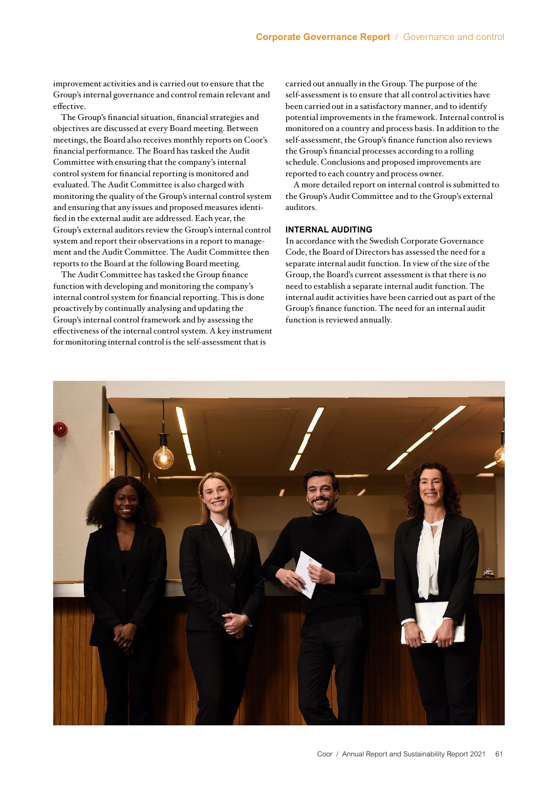improvement activities and is carried out to ensure that the Group's internal governance and control remain relevant and effective.

The Group's financial situation, financial strategies and objectives are discussed at every Board meeting. Between meetings, the Board also receives monthly reports on Coor's financial performance. The Board has tasked the Audit Committee with ensuring that the company's internal control system for financial reporting is monitored and evaluated. The Audit Committee is also charged with monitoring the quality of the Group's internal control system and ensuring that any issues and proposed measures identified in the external audit are addressed. Each year, the Group's external auditors review the Group's internal control system and report their observations in a report to management and the Audit Committee. The Audit Committee then reports to the Board at the following Board meeting.

The Audit Committee has tasked the Group finance function with developing and monitoring the company's internal control system for financial reporting. This is done proactively by continually analysing and updating the Group's internal control framework and by assessing the effectiveness of the internal control system. A key instrument for monitoring internal control is the self-assessment that is

carried out annually in the Group. The purpose of the self-assessment is to ensure that all control activities have been carried out in a satisfactory manner, and to identify potential improvements in the framework. Internal control is monitored on a country and process basis. In addition to the self-assessment, the Group's finance function also reviews the Group's financial processes according to a rolling schedule. Conclusions and proposed improvements are reported to each country and process owner.

A more detailed report on internal control is submitted to the Group's Audit Committee and to the Group's external auditors.

# **INTERNAL AUDITING**

In accordance with the Swedish Corporate Governance Code, the Board of Directors has assessed the need for a separate internal audit function. In view of the size of the Group, the Board's current assessment is that there is no need to establish a separate internal audit function. The internal audit activities have been carried out as part of the Group's finance function. The need for an internal audit function is reviewed annually.

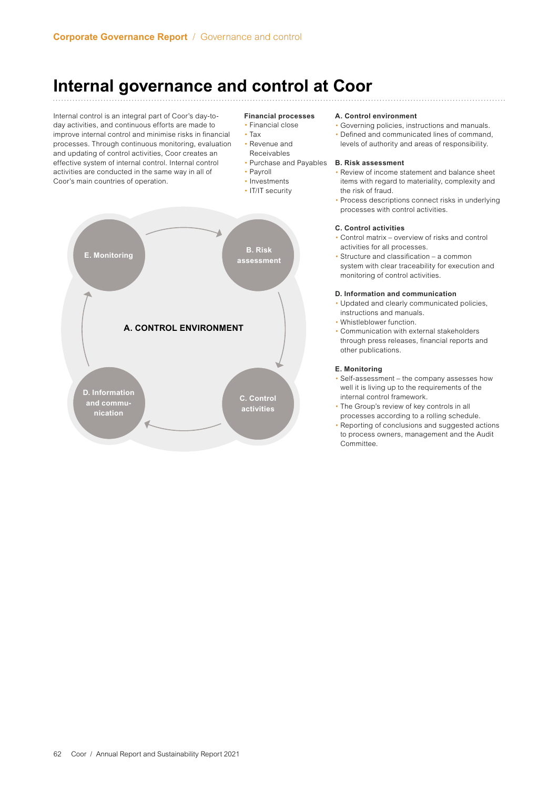# **Internal governance and control at Coor**

Internal control is an integral part of Coor's day-today activities, and continuous efforts are made to improve internal control and minimise risks in financial processes. Through continuous monitoring, evaluation and updating of control activities, Coor creates an effective system of internal control. Internal control activities are conducted in the same way in all of Coor's main countries of operation.

# **Financial processes**

- Financial close
- Tax
- Revenue and Receivables
- **Purchase and Payables B. Risk assessment**
- Payroll
- Investments
- IT/IT security



# **A. Control environment**

- Governing policies, instructions and manuals.
- Defined and communicated lines of command, levels of authority and areas of responsibility.

- Review of income statement and balance sheet items with regard to materiality, complexity and the risk of fraud.
- Process descriptions connect risks in underlying processes with control activities.

# **C. Control activities**

- Control matrix overview of risks and control activities for all processes.
- Structure and classification a common system with clear traceability for execution and monitoring of control activities.

# **D. Information and communication**

- Updated and clearly communicated policies, instructions and manuals.
- Whistleblower function.
- Communication with external stakeholders through press releases, financial reports and other publications.

# **E. Monitoring**

- Self-assessment the company assesses how well it is living up to the requirements of the internal control framework.
- The Group's review of key controls in all processes according to a rolling schedule.
- Reporting of conclusions and suggested actions to process owners, management and the Audit **Committee**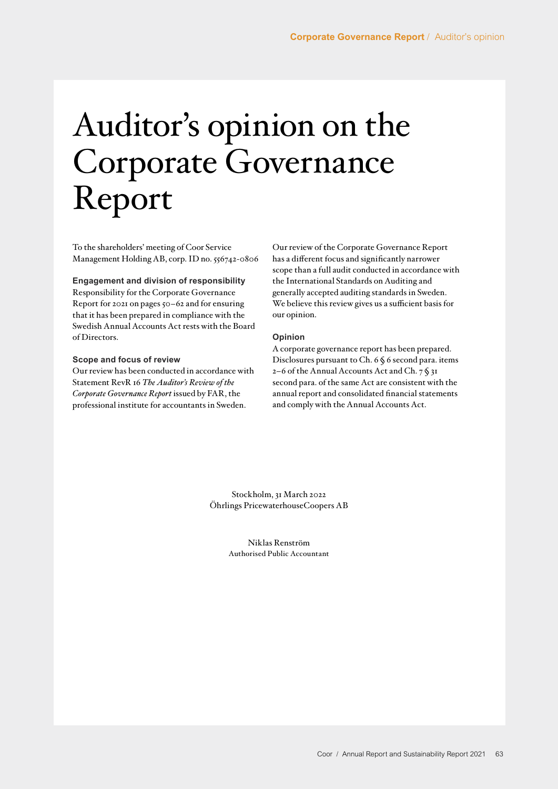# <span id="page-13-0"></span>Auditor's opinion on the Corporate Governance Report

To the shareholders' meeting of Coor Service Management Holding AB, corp. ID no. 556742-0806

# **Engagement and division of responsibility**

Responsibility for the Corporate Governance Report for 2021 on pages 50–62 and for ensuring that it has been prepared in compliance with the Swedish Annual Accounts Act rests with the Board of Directors.

# **Scope and focus of review**

Our review has been conducted in accordance with Statement RevR 16 *The Auditor's Review of the Corporate Governance Report* issued by FAR, the professional institute for accountants in Sweden.

Our review of the Corporate Governance Report has a different focus and significantly narrower scope than a full audit conducted in accordance with the International Standards on Auditing and generally accepted auditing standards in Sweden. We believe this review gives us a sufficient basis for our opinion.

# **Opinion**

A corporate governance report has been prepared. Disclosures pursuant to Ch. 6 § 6 second para. items 2–6 of the Annual Accounts Act and Ch.  $7 \S 3I$ second para. of the same Act are consistent with the annual report and consolidated financial statements and comply with the Annual Accounts Act.

Stockholm, 31 March 2022 Öhrlings PricewaterhouseCoopers AB

> Niklas Renström Authorised Public Accountant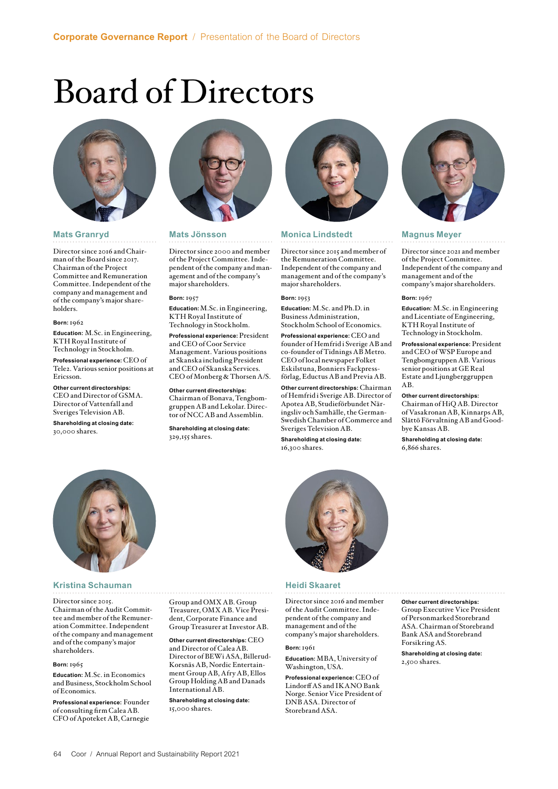# <span id="page-14-0"></span>Board of Directors



# **Mats Granryd**

Director since 2016 and Chairman of the Board since 2017. Chairman of the Project Committee and Remuneration Committee. Independent of the company and management and of the company's major shareholders.

## **Born:** 1962

**Education:** M.Sc. in Engineering, KTH Royal Institute of Technology in Stockholm.

**Professional experience:** CEO of Tele2. Various senior positions at Ericsson.

**Other current directorships:** CEO and Director of GSMA. Director of Vattenfall and Sveriges Television AB.

**Shareholding at closing date:** 30,000 shares.



# **Mats Jönsson**

Director since 2000 and member of the Project Committee. Independent of the company and management and of the company's major shareholders.

# **Born:** 1957

**Education:**M.Sc. in Engineering, KTH Royal Institute of Technology in Stockholm.

**Professional experience:** President and CEO of Coor Service Management. Various positions at Skanska including President and CEO of Skanska Services. CEO of Monberg & Thorsen A/S.

**Other current directorships:** Chairman of Bonava, Tengbomgruppen AB and Lekolar. Director of NCC AB and Assemblin.

**Shareholding at closing date:** 329,155 shares.



# **Monica Lindstedt**

Director since 2015 and member of the Remuneration Committee. Independent of the company and management and of the company's major shareholders.

# **Born:** 1953

**Education:** M.Sc. and Ph.D. in Business Administration, Stockholm School of Economics. **Professional experience:** CEO and founder of Hemfrid i Sverige AB and co-founder of Tidnings AB Metro. CEO of local newspaper Folket Eskilstuna, Bonniers Fackpress-

förlag, Eductus AB and Previa AB. **Other current directorships:** Chairman of Hemfrid i Sverige AB. Director of Apotea AB, Studieförbundet Näringsliv och Samhälle, the German-Swedish Chamber of Commerce and Sveriges Television AB.

**Shareholding at closing date:** 16,300 shares.



# **Magnus Meyer**

Director since 2021 and member of the Project Committee. Independent of the company and management and of the company's major shareholders.

### **Born:** 1967

**Education:** M.Sc. in Engineering and Licentiate of Engineering, KTH Royal Institute of Technology in Stockholm.

**Professional experience:** President and CEO of WSP Europe and Tengbomgruppen AB. Various senior positions at GE Real Estate and Ljungberggruppen AB.

# **Other current directorships:**

Chairman of HiQ AB. Director of Vasakronan AB, Kinnarps AB, Slättö Förvaltning AB and Goodbye Kansas AB.

**Shareholding at closing date:**  6,866 shares.



# **Kristina Schauman Manual Schauman Heidi Skaaret**

# Director since 2015.

Chairman of the Audit Committee and member of the Remuneration Committee. Independent of the company and management and of the company's major shareholders.

### **Born:** 1965

**Education:** M.Sc. in Economics and Business, Stockholm School of Economics.

**Professional experience:** Founder of consulting firm Calea AB. CFO of Apoteket AB, Carnegie Group and OMX AB. Group

Treasurer, OMX AB. Vice President, Corporate Finance and Group Treasurer at Investor AB.

**Other current directorships:** CEO and Director of Calea AB. Director of BEWi ASA, Billerud-Korsnäs AB, Nordic Entertainment Group AB, Afry AB, Ellos Group Holding AB and Danads International AB.

**Shareholding at closing date:** 15,000 shares.

Director since 2016 and member of the Audit Committee. Independent of the company and management and of the company's major shareholders.

## **Born:** 1961

**Education:** MBA, University of Washington, USA.

**Professional experience:** CEO of Lindorff AS and IKANO Bank Norge. Senior Vice President of DNB ASA. Director of Storebrand ASA.

**Other current directorships:** Group Executive Vice President of Personmarked Storebrand ASA. Chairman of Storebrand Bank ASA and Storebrand Forsikring AS.

## **Shareholding at closing date:** 2,500 shares.

64 Coor / Annual Report and Sustainability Report 2021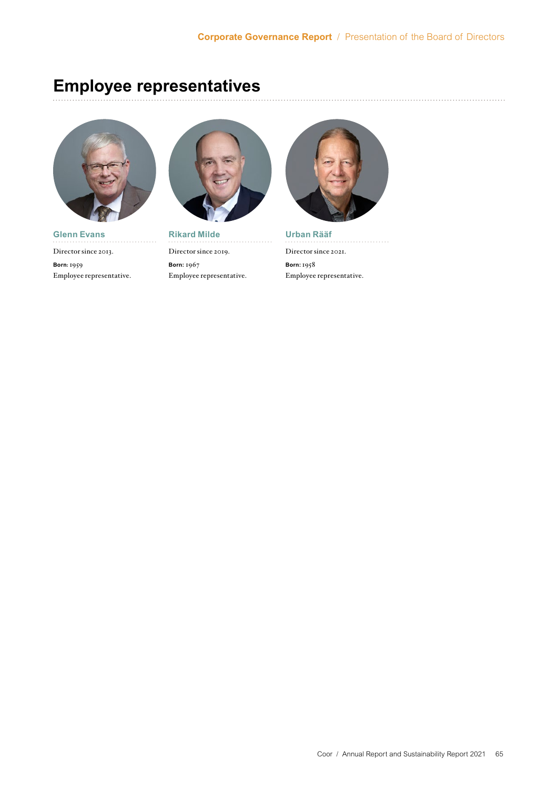# **Employee representatives**



**Glenn Evans** Director since 2013. **Born:** 1959 Employee representative.



**Rikard Milde** Director since 2019. **Born:** 1967 Employee representative.



**Urban Rääf**  Director since 2021. **Born:** 1958 Employee representative.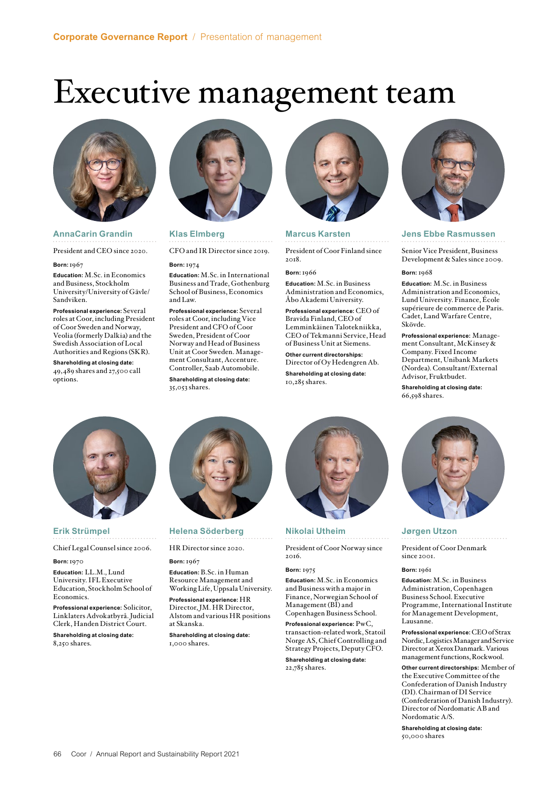# <span id="page-16-0"></span>Executive management team



# **AnnaCarin Grandin**

President and CEO since 2020.

# **Born:**1967

**Education:** M.Sc. in Economics and Business, Stockholm University/University of Gävle/ Sandviken.

**Professional experience:** Several roles at Coor, including President of Coor Sweden and Norway, Veolia (formerly Dalkia) and the Swedish Association of Local Authorities and Regions (SKR).

**Shareholding at closing date:** 49,489 shares and 27,500 call options.



# **Klas Elmberg**

CFO and IR Director since 2019.

# **Born:** 1974

**Education:** M.Sc. in International Business and Trade, Gothenburg School of Business, Economics and Law.

**Professional experience:** Several roles at Coor, including Vice President and CFO of Coor Sweden, President of Coor Norway and Head of Business Unit at Coor Sweden. Management Consultant, Accenture. Controller, Saab Automobile.

**Shareholding at closing date:** 35,053 shares.



# **Marcus Karsten**

President of Coor Finland since 2018.

## **Born:** 1966

**Education:** M.Sc. in Business Administration and Economics, Åbo Akademi University.

**Professional experience:** CEO of Bravida Finland, CEO of Lemminkäinen Talotekniikka, CEO of Tekmanni Service, Head of Business Unit at Siemens.

**Other current directorships:**  Director of Oy Hedengren Ab.

**Shareholding at closing date:** 10,285 shares.



# **Nikolai Utheim**

President of Coor Norway since 2016.

# **Born:** 1975

**Education:** M.Sc. in Economics and Business with a major in Finance, Norwegian School of Management (BI) and Copenhagen Business School.

**Professional experience:** PwC, transaction-related work, Statoil Norge AS, Chief Controlling and Strategy Projects, Deputy CFO.

**Shareholding at closing date:** 22,785 shares.



# **Jens Ebbe Rasmussen**

Senior Vice President, Business Development & Sales since 2009.

### **Born:** 1968

**Education:** M.Sc. in Business Administration and Economics, Lund University. Finance, École supérieure de commerce de Paris. Cadet, Land Warfare Centre, Skövde.

**Professional experience:** Management Consultant, McKinsey & Company. Fixed Income Department, Unibank Markets (Nordea). Consultant/External Advisor, Fruktbudet.

**Shareholding at closing date:** 66,598 shares.



# **Jørgen Utzon**

President of Coor Denmark since 2001.

## **Born:** 1961

**Education:** M.Sc. in Business Administration, Copenhagen Business School. Executive Programme, International Institute for Management Development, Lausanne.

**Professional experience:** CEO of Strax Nordic, Logistics Manager and Service Director at Xerox Danmark. Various management functions, Rockwool.

**Other current directorships:** Member of the Executive Committee of the Confederation of Danish Industry (DI). Chairman of DI Service (Confederation of Danish Industry). Director of Nordomatic AB and Nordomatic A/S.

**Shareholding at closing date:** 50,000 shares



# **Erik Strümpel**

Chief Legal Counsel since 2006.

**Born:**1970

**Education:** LL.M., Lund University. IFL Executive Education, Stockholm School of Economics.

**Professional experience:** Solicitor, Linklaters Advokatbyrå. Judicial Clerk, Handen District Court.

**Shareholding at closing date:** 8,250 shares.

# **Helena Söderberg**

HR Director since 2020.

**Born:** 1967

**Education:** B.Sc. in Human Resource Management and Working Life, Uppsala University.

**Professional experience:** HR Director, JM. HR Director, Alstom and various HR positions at Skanska.

**Shareholding at closing date:** 1,000 shares.